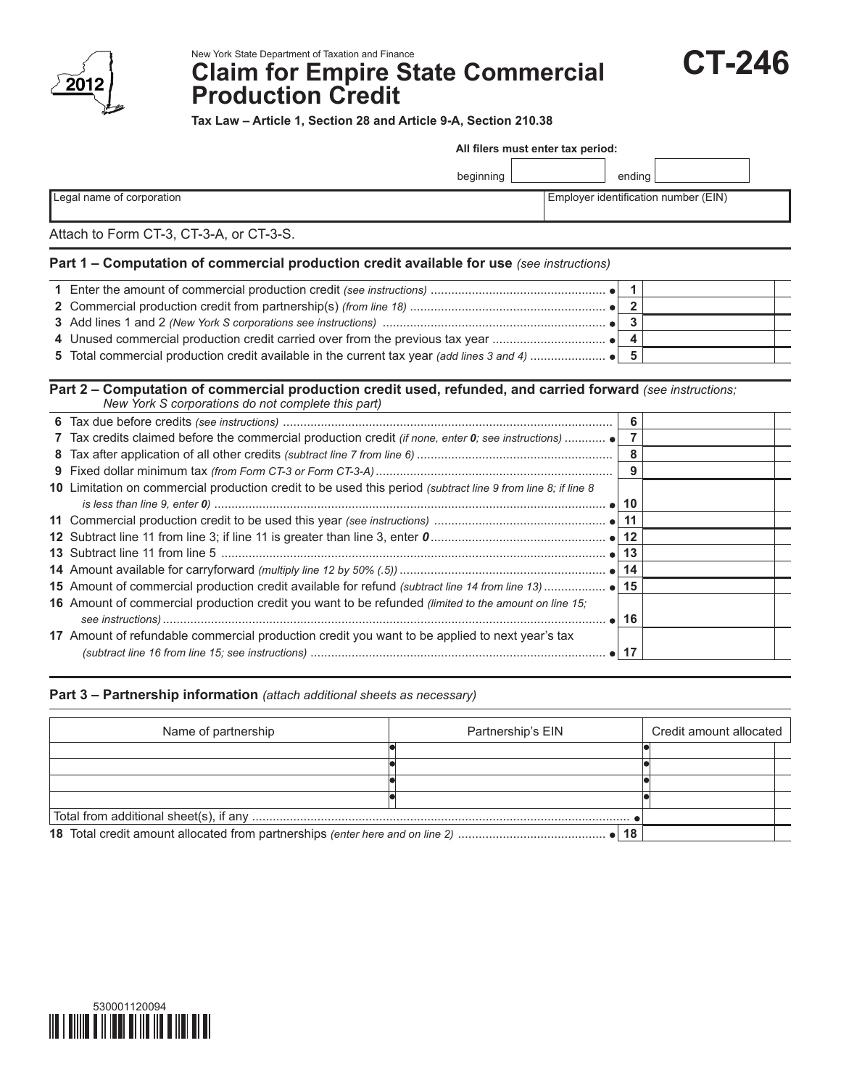

New York State Department of Taxation and Finance

# **Claim for Empire State Commercial Production Credit**



**Tax Law – Article 1, Section 28 and Article 9-A, Section 210.38**

| All filers must enter tax period:                                                                                                                                 |                                      |  |  |  |
|-------------------------------------------------------------------------------------------------------------------------------------------------------------------|--------------------------------------|--|--|--|
| beginning                                                                                                                                                         | ending                               |  |  |  |
| Legal name of corporation                                                                                                                                         | Employer identification number (EIN) |  |  |  |
| Attach to Form CT-3, CT-3-A, or CT-3-S.                                                                                                                           |                                      |  |  |  |
| Part 1 - Computation of commercial production credit available for use (see instructions)                                                                         |                                      |  |  |  |
|                                                                                                                                                                   | $\mathbf{1}$                         |  |  |  |
|                                                                                                                                                                   | $\overline{2}$                       |  |  |  |
|                                                                                                                                                                   | $\mathbf{3}$                         |  |  |  |
|                                                                                                                                                                   | 4                                    |  |  |  |
|                                                                                                                                                                   |                                      |  |  |  |
| Part 2 - Computation of commercial production credit used, refunded, and carried forward (see instructions;<br>New York S corporations do not complete this part) | 6                                    |  |  |  |
| 7 Tax credits claimed before the commercial production credit (if none, enter 0; see instructions)                                                                | $\overline{7}$                       |  |  |  |
|                                                                                                                                                                   | 8                                    |  |  |  |
|                                                                                                                                                                   | 9                                    |  |  |  |
| 10 Limitation on commercial production credit to be used this period (subtract line 9 from line 8; if line 8                                                      |                                      |  |  |  |
|                                                                                                                                                                   | 10                                   |  |  |  |
|                                                                                                                                                                   | 11                                   |  |  |  |
|                                                                                                                                                                   | 12                                   |  |  |  |
|                                                                                                                                                                   | 13                                   |  |  |  |
|                                                                                                                                                                   | 14                                   |  |  |  |
| $\triangle$ $\triangleright$ mount of commonsial production anodit ovailable for refund (subtract line 44 from line 49)                                           | A.C.                                 |  |  |  |

| 16 Amount of commercial production credit you want to be refunded (limited to the amount on line 15; |         |  |
|------------------------------------------------------------------------------------------------------|---------|--|
|                                                                                                      | . •⊟16∶ |  |
| 17 Amount of refundable commercial production credit you want to be applied to next year's tax       |         |  |
|                                                                                                      |         |  |

# **Part 3 – Partnership information** *(attach additional sheets as necessary)*

| Name of partnership | Partnership's EIN | Credit amount allocated |  |
|---------------------|-------------------|-------------------------|--|
|                     |                   |                         |  |
|                     |                   |                         |  |
|                     |                   |                         |  |
|                     |                   |                         |  |
|                     |                   |                         |  |
|                     |                   |                         |  |